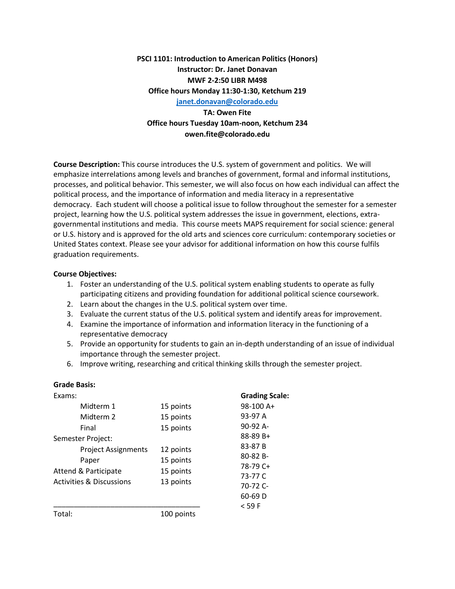**PSCI 1101: Introduction to American Politics (Honors) Instructor: Dr. Janet Donavan MWF 2-2:50 LIBR M498 Office hours Monday 11:30-1:30, Ketchum 219 [janet.donavan@colorado.edu](mailto:janet.donavan@colorado.edu)**

**TA: Owen Fite Office hours Tuesday 10am-noon, Ketchum 234 owen.fite@colorado.edu**

**Course Description:** This course introduces the U.S. system of government and politics. We will emphasize interrelations among levels and branches of government, formal and informal institutions, processes, and political behavior. This semester, we will also focus on how each individual can affect the political process, and the importance of information and media literacy in a representative democracy. Each student will choose a political issue to follow throughout the semester for a semester project, learning how the U.S. political system addresses the issue in government, elections, extragovernmental institutions and media. This course meets MAPS requirement for social science: general or U.S. history and is approved for the old arts and sciences core curriculum: contemporary societies or United States context. Please see your advisor for additional information on how this course fulfils graduation requirements.

#### **Course Objectives:**

**Grade Basis:**

- 1. Foster an understanding of the U.S. political system enabling students to operate as fully participating citizens and providing foundation for additional political science coursework.
- 2. Learn about the changes in the U.S. political system over time.
- 3. Evaluate the current status of the U.S. political system and identify areas for improvement.
- 4. Examine the importance of information and information literacy in the functioning of a representative democracy
- 5. Provide an opportunity for students to gain an in-depth understanding of an issue of individual importance through the semester project.
- 6. Improve writing, researching and critical thinking skills through the semester project.

| Giaue Dasis.                                                                                       |                                                  |                                                            |            |          |
|----------------------------------------------------------------------------------------------------|--------------------------------------------------|------------------------------------------------------------|------------|----------|
| Exams:                                                                                             |                                                  | <b>Grading Scale:</b>                                      |            |          |
| Midterm 1                                                                                          | 15 points                                        | 98-100 A+                                                  |            |          |
| Midterm 2                                                                                          | 15 points                                        | 93-97 A                                                    |            |          |
| Final                                                                                              | 15 points                                        | 90-92 A-                                                   |            |          |
| Semester Project:                                                                                  |                                                  | 88-89 B+<br>83-87 B<br>$80 - 82B -$<br>78-79 C+<br>73-77 C |            |          |
| <b>Project Assignments</b><br>Paper<br>Attend & Participate<br><b>Activities &amp; Discussions</b> | 12 points<br>15 points<br>15 points<br>13 points |                                                            |            |          |
|                                                                                                    |                                                  |                                                            | 70-72 C-   |          |
|                                                                                                    |                                                  |                                                            |            | 60-69 D  |
|                                                                                                    |                                                  |                                                            |            | $<$ 59 F |
|                                                                                                    |                                                  | Total:                                                     | 100 points |          |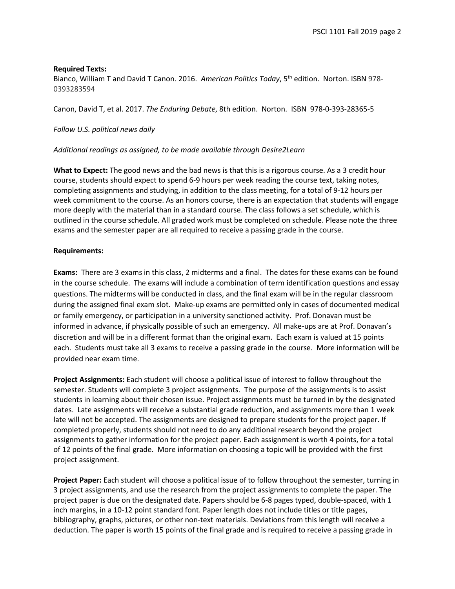#### **Required Texts:**

Bianco, William T and David T Canon. 2016. *American Politics Today*, 5th edition. Norton. ISBN 978- 0393283594

Canon, David T, et al. 2017. *The Enduring Debate*, 8th edition. Norton. ISBN 978-0-393-28365-5

### *Follow U.S. political news daily*

#### *Additional readings as assigned, to be made available through Desire2Learn*

**What to Expect:** The good news and the bad news is that this is a rigorous course. As a 3 credit hour course, students should expect to spend 6-9 hours per week reading the course text, taking notes, completing assignments and studying, in addition to the class meeting, for a total of 9-12 hours per week commitment to the course. As an honors course, there is an expectation that students will engage more deeply with the material than in a standard course. The class follows a set schedule, which is outlined in the course schedule. All graded work must be completed on schedule. Please note the three exams and the semester paper are all required to receive a passing grade in the course.

#### **Requirements:**

**Exams:** There are 3 exams in this class, 2 midterms and a final. The dates for these exams can be found in the course schedule. The exams will include a combination of term identification questions and essay questions. The midterms will be conducted in class, and the final exam will be in the regular classroom during the assigned final exam slot. Make-up exams are permitted only in cases of documented medical or family emergency, or participation in a university sanctioned activity. Prof. Donavan must be informed in advance, if physically possible of such an emergency. All make-ups are at Prof. Donavan's discretion and will be in a different format than the original exam. Each exam is valued at 15 points each. Students must take all 3 exams to receive a passing grade in the course. More information will be provided near exam time.

**Project Assignments:** Each student will choose a political issue of interest to follow throughout the semester. Students will complete 3 project assignments. The purpose of the assignments is to assist students in learning about their chosen issue. Project assignments must be turned in by the designated dates. Late assignments will receive a substantial grade reduction, and assignments more than 1 week late will not be accepted. The assignments are designed to prepare students for the project paper. If completed properly, students should not need to do any additional research beyond the project assignments to gather information for the project paper. Each assignment is worth 4 points, for a total of 12 points of the final grade. More information on choosing a topic will be provided with the first project assignment.

**Project Paper:** Each student will choose a political issue of to follow throughout the semester, turning in 3 project assignments, and use the research from the project assignments to complete the paper. The project paper is due on the designated date. Papers should be 6-8 pages typed, double-spaced, with 1 inch margins, in a 10-12 point standard font. Paper length does not include titles or title pages, bibliography, graphs, pictures, or other non-text materials. Deviations from this length will receive a deduction. The paper is worth 15 points of the final grade and is required to receive a passing grade in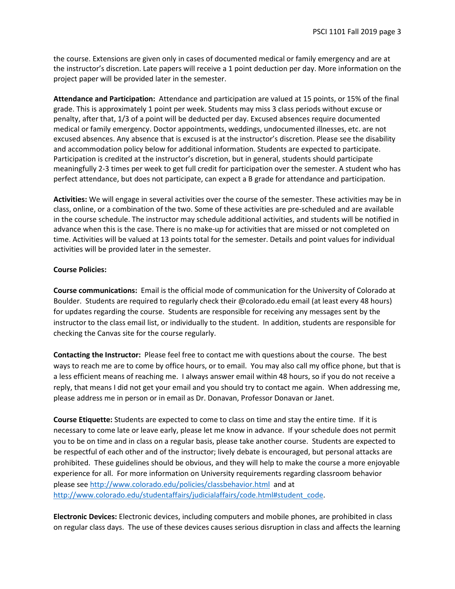the course. Extensions are given only in cases of documented medical or family emergency and are at the instructor's discretion. Late papers will receive a 1 point deduction per day. More information on the project paper will be provided later in the semester.

**Attendance and Participation:** Attendance and participation are valued at 15 points, or 15% of the final grade. This is approximately 1 point per week. Students may miss 3 class periods without excuse or penalty, after that, 1/3 of a point will be deducted per day. Excused absences require documented medical or family emergency. Doctor appointments, weddings, undocumented illnesses, etc. are not excused absences. Any absence that is excused is at the instructor's discretion. Please see the disability and accommodation policy below for additional information. Students are expected to participate. Participation is credited at the instructor's discretion, but in general, students should participate meaningfully 2-3 times per week to get full credit for participation over the semester. A student who has perfect attendance, but does not participate, can expect a B grade for attendance and participation.

**Activities:** We will engage in several activities over the course of the semester. These activities may be in class, online, or a combination of the two. Some of these activities are pre-scheduled and are available in the course schedule. The instructor may schedule additional activities, and students will be notified in advance when this is the case. There is no make-up for activities that are missed or not completed on time. Activities will be valued at 13 points total for the semester. Details and point values for individual activities will be provided later in the semester.

### **Course Policies:**

**Course communications:** Email is the official mode of communication for the University of Colorado at Boulder. Students are required to regularly check their @colorado.edu email (at least every 48 hours) for updates regarding the course. Students are responsible for receiving any messages sent by the instructor to the class email list, or individually to the student. In addition, students are responsible for checking the Canvas site for the course regularly.

**Contacting the Instructor:** Please feel free to contact me with questions about the course. The best ways to reach me are to come by office hours, or to email. You may also call my office phone, but that is a less efficient means of reaching me. I always answer email within 48 hours, so if you do not receive a reply, that means I did not get your email and you should try to contact me again. When addressing me, please address me in person or in email as Dr. Donavan, Professor Donavan or Janet.

**Course Etiquette:** Students are expected to come to class on time and stay the entire time. If it is necessary to come late or leave early, please let me know in advance. If your schedule does not permit you to be on time and in class on a regular basis, please take another course. Students are expected to be respectful of each other and of the instructor; lively debate is encouraged, but personal attacks are prohibited. These guidelines should be obvious, and they will help to make the course a more enjoyable experience for all. For more information on University requirements regarding classroom behavior please see<http://www.colorado.edu/policies/classbehavior.html>and at [http://www.colorado.edu/studentaffairs/judicialaffairs/code.html#student\\_code.](http://www.colorado.edu/studentaffairs/judicialaffairs/code.html#student_code)

**Electronic Devices:** Electronic devices, including computers and mobile phones, are prohibited in class on regular class days. The use of these devices causes serious disruption in class and affects the learning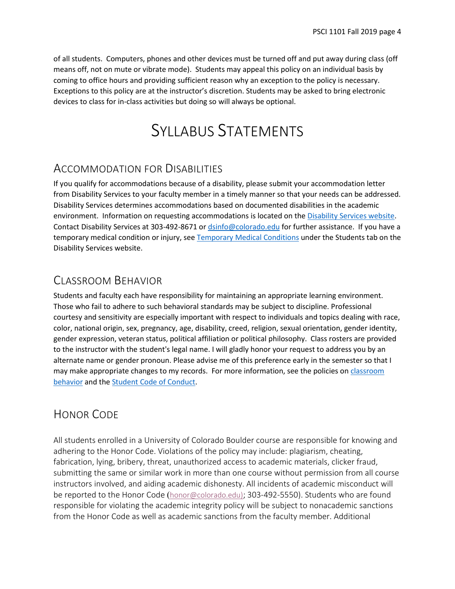of all students. Computers, phones and other devices must be turned off and put away during class (off means off, not on mute or vibrate mode). Students may appeal this policy on an individual basis by coming to office hours and providing sufficient reason why an exception to the policy is necessary. Exceptions to this policy are at the instructor's discretion. Students may be asked to bring electronic devices to class for in-class activities but doing so will always be optional.

## SYLLABUS STATEMENTS

## ACCOMMODATION FOR DISABILITIES

If you qualify for accommodations because of a disability, please submit your accommodation letter from Disability Services to your faculty member in a timely manner so that your needs can be addressed. Disability Services determines accommodations based on documented disabilities in the academic environment. Information on requesting accommodations is located on th[e Disability Services website.](http://www.colorado.edu/disabilityservices/students) Contact Disability Services at 303-492-8671 or [dsinfo@colorado.edu](mailto:dsinfo@colorado.edu) for further assistance. If you have a temporary medical condition or injury, see [Temporary Medical Conditions](http://www.colorado.edu/disabilityservices/students/temporary-medical-conditions) under the Students tab on the Disability Services website.

## CLASSROOM BEHAVIOR

Students and faculty each have responsibility for maintaining an appropriate learning environment. Those who fail to adhere to such behavioral standards may be subject to discipline. Professional courtesy and sensitivity are especially important with respect to individuals and topics dealing with race, color, national origin, sex, pregnancy, age, disability, creed, religion, sexual orientation, gender identity, gender expression, veteran status, political affiliation or political philosophy. Class rosters are provided to the instructor with the student's legal name. I will gladly honor your request to address you by an alternate name or gender pronoun. Please advise me of this preference early in the semester so that I may make appropriate changes to my records. For more information, see the policies on classroom [behavior](http://www.colorado.edu/policies/student-classroom-and-course-related-behavior) and th[e Student Code of Conduct.](http://www.colorado.edu/osccr/)

## HONOR CODE

All students enrolled in a University of Colorado Boulder course are responsible for knowing and adhering to the Honor Code. Violations of the policy may include: plagiarism, cheating, fabrication, lying, bribery, threat, unauthorized access to academic materials, clicker fraud, submitting the same or similar work in more than one course without permission from all course instructors involved, and aiding academic dishonesty. All incidents of academic misconduct will be reported to the Honor Code ([honor@colorado.edu\)](mailto:honor@colorado.edu); 303-492-5550). Students who are found responsible for violating the academic integrity policy will be subject to nonacademic sanctions from the Honor Code as well as academic sanctions from the faculty member. Additional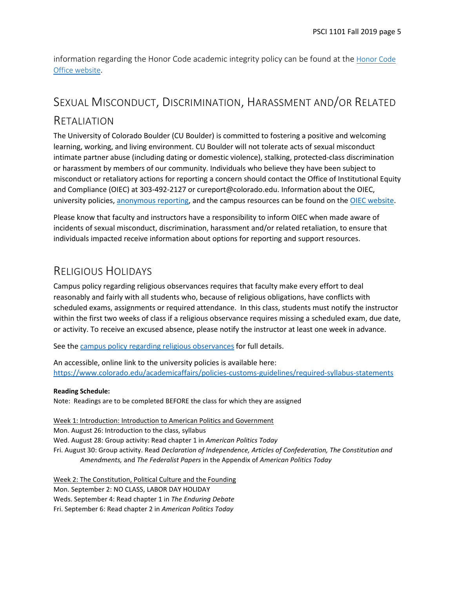information regarding the Honor Code academic integrity policy can be found at the [Honor Code](https://www.colorado.edu/osccr/honor-code)  [Office website.](https://www.colorado.edu/osccr/honor-code)

# SEXUAL MISCONDUCT, DISCRIMINATION, HARASSMENT AND/OR RELATED

## RETALIATION

The University of Colorado Boulder (CU Boulder) is committed to fostering a positive and welcoming learning, working, and living environment. CU Boulder will not tolerate acts of sexual misconduct intimate partner abuse (including dating or domestic violence), stalking, protected-class discrimination or harassment by members of our community. Individuals who believe they have been subject to misconduct or retaliatory actions for reporting a concern should contact the Office of Institutional Equity and Compliance (OIEC) at 303-492-2127 or cureport@colorado.edu. Information about the OIEC, university policies, [anonymous reporting,](https://cuboulder.qualtrics.com/jfe/form/SV_0PnqVK4kkIJIZnf) and the campus resources can be found on the [OIEC website.](http://www.colorado.edu/institutionalequity/)

Please know that faculty and instructors have a responsibility to inform OIEC when made aware of incidents of sexual misconduct, discrimination, harassment and/or related retaliation, to ensure that individuals impacted receive information about options for reporting and support resources.

## RELIGIOUS HOLIDAYS

Campus policy regarding religious observances requires that faculty make every effort to deal reasonably and fairly with all students who, because of religious obligations, have conflicts with scheduled exams, assignments or required attendance. In this class, students must notify the instructor within the first two weeks of class if a religious observance requires missing a scheduled exam, due date, or activity. To receive an excused absence, please notify the instructor at least one week in advance.

See the [campus policy regarding religious observances](http://www.colorado.edu/policies/observance-religious-holidays-and-absences-classes-andor-exams) for full details.

An accessible, online link to the university policies is available here: <https://www.colorado.edu/academicaffairs/policies-customs-guidelines/required-syllabus-statements>

## **Reading Schedule:**

Note: Readings are to be completed BEFORE the class for which they are assigned

Week 1: Introduction: Introduction to American Politics and Government Mon. August 26: Introduction to the class, syllabus Wed. August 28: Group activity: Read chapter 1 in *American Politics Today* Fri. August 30: Group activity. Read *Declaration of Independence, Articles of Confederation, The Constitution and Amendments,* and *The Federalist Papers* in the Appendix of *American Politics Today*

Week 2: The Constitution, Political Culture and the Founding Mon. September 2: NO CLASS, LABOR DAY HOLIDAY Weds. September 4: Read chapter 1 in *The Enduring Debate* Fri. September 6: Read chapter 2 in *American Politics Today*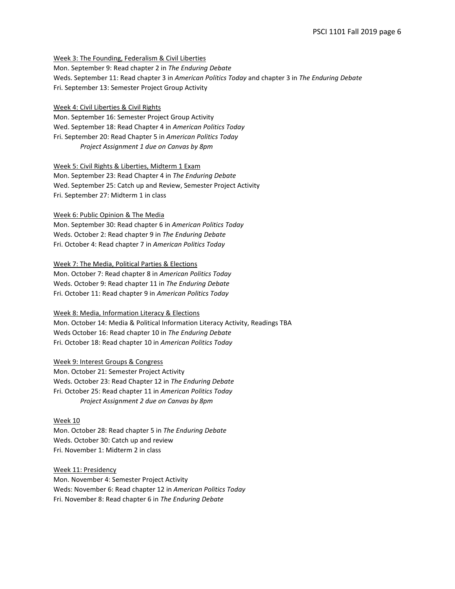Week 3: The Founding, Federalism & Civil Liberties

Mon. September 9: Read chapter 2 in *The Enduring Debate* Weds. September 11: Read chapter 3 in *American Politics Today* and chapter 3 in *The Enduring Debate* Fri. September 13: Semester Project Group Activity

Week 4: Civil Liberties & Civil Rights

Mon. September 16: Semester Project Group Activity Wed. September 18: Read Chapter 4 in *American Politics Today* Fri. September 20: Read Chapter 5 in *American Politics Today Project Assignment 1 due on Canvas by 8pm*

Week 5: Civil Rights & Liberties, Midterm 1 Exam

Mon. September 23: Read Chapter 4 in *The Enduring Debate* Wed. September 25: Catch up and Review, Semester Project Activity Fri. September 27: Midterm 1 in class

Week 6: Public Opinion & The Media

Mon. September 30: Read chapter 6 in *American Politics Today* Weds. October 2: Read chapter 9 in *The Enduring Debate* Fri. October 4: Read chapter 7 in *American Politics Today*

Week 7: The Media, Political Parties & Elections Mon. October 7: Read chapter 8 in *American Politics Today* Weds. October 9: Read chapter 11 in *The Enduring Debate* Fri. October 11: Read chapter 9 in *American Politics Today*

Week 8: Media, Information Literacy & Elections Mon. October 14: Media & Political Information Literacy Activity, Readings TBA Weds October 16: Read chapter 10 in *The Enduring Debate* Fri. October 18: Read chapter 10 in *American Politics Today*

Week 9: Interest Groups & Congress Mon. October 21: Semester Project Activity Weds. October 23: Read Chapter 12 in *The Enduring Debate* Fri. October 25: Read chapter 11 in *American Politics Today*

*Project Assignment 2 due on Canvas by 8pm*

Week 10 Mon. October 28: Read chapter 5 in *The Enduring Debate* Weds. October 30: Catch up and review Fri. November 1: Midterm 2 in class

Week 11: Presidency Mon. November 4: Semester Project Activity Weds: November 6: Read chapter 12 in *American Politics Today* Fri. November 8: Read chapter 6 in *The Enduring Debate*